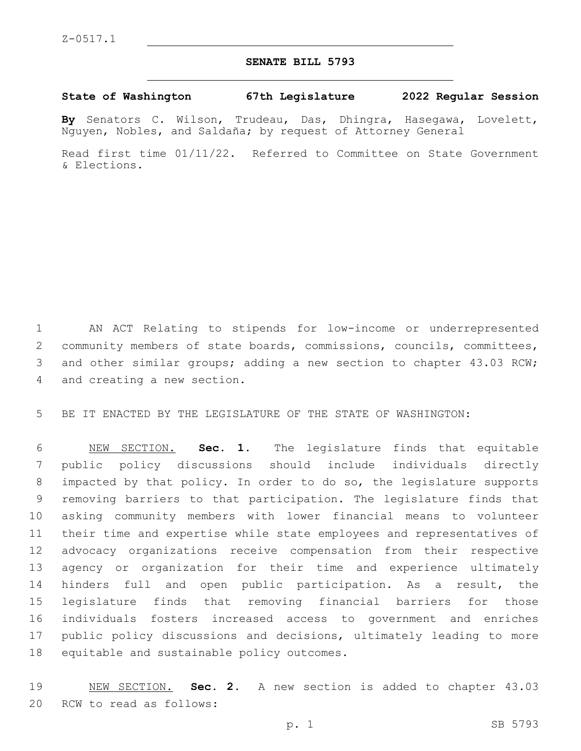## **SENATE BILL 5793**

## **State of Washington 67th Legislature 2022 Regular Session**

**By** Senators C. Wilson, Trudeau, Das, Dhingra, Hasegawa, Lovelett, Nguyen, Nobles, and Saldaña; by request of Attorney General

Read first time 01/11/22. Referred to Committee on State Government & Elections.

 AN ACT Relating to stipends for low-income or underrepresented community members of state boards, commissions, councils, committees, and other similar groups; adding a new section to chapter 43.03 RCW; 4 and creating a new section.

BE IT ENACTED BY THE LEGISLATURE OF THE STATE OF WASHINGTON:

 NEW SECTION. **Sec. 1.** The legislature finds that equitable public policy discussions should include individuals directly impacted by that policy. In order to do so, the legislature supports removing barriers to that participation. The legislature finds that asking community members with lower financial means to volunteer their time and expertise while state employees and representatives of advocacy organizations receive compensation from their respective agency or organization for their time and experience ultimately hinders full and open public participation. As a result, the legislature finds that removing financial barriers for those individuals fosters increased access to government and enriches public policy discussions and decisions, ultimately leading to more equitable and sustainable policy outcomes.

 NEW SECTION. **Sec. 2.** A new section is added to chapter 43.03 20 RCW to read as follows: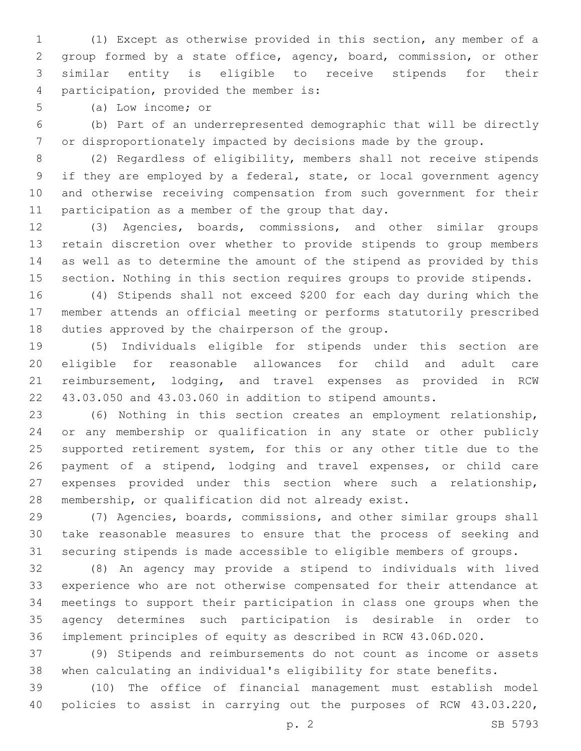(1) Except as otherwise provided in this section, any member of a group formed by a state office, agency, board, commission, or other similar entity is eligible to receive stipends for their 4 participation, provided the member is:

5 (a) Low income; or

 (b) Part of an underrepresented demographic that will be directly or disproportionately impacted by decisions made by the group.

 (2) Regardless of eligibility, members shall not receive stipends if they are employed by a federal, state, or local government agency and otherwise receiving compensation from such government for their 11 participation as a member of the group that day.

 (3) Agencies, boards, commissions, and other similar groups retain discretion over whether to provide stipends to group members as well as to determine the amount of the stipend as provided by this section. Nothing in this section requires groups to provide stipends.

 (4) Stipends shall not exceed \$200 for each day during which the member attends an official meeting or performs statutorily prescribed 18 duties approved by the chairperson of the group.

 (5) Individuals eligible for stipends under this section are eligible for reasonable allowances for child and adult care reimbursement, lodging, and travel expenses as provided in RCW 43.03.050 and 43.03.060 in addition to stipend amounts.

 (6) Nothing in this section creates an employment relationship, or any membership or qualification in any state or other publicly supported retirement system, for this or any other title due to the payment of a stipend, lodging and travel expenses, or child care expenses provided under this section where such a relationship, membership, or qualification did not already exist.

 (7) Agencies, boards, commissions, and other similar groups shall take reasonable measures to ensure that the process of seeking and securing stipends is made accessible to eligible members of groups.

 (8) An agency may provide a stipend to individuals with lived experience who are not otherwise compensated for their attendance at meetings to support their participation in class one groups when the agency determines such participation is desirable in order to implement principles of equity as described in RCW 43.06D.020.

 (9) Stipends and reimbursements do not count as income or assets when calculating an individual's eligibility for state benefits.

 (10) The office of financial management must establish model policies to assist in carrying out the purposes of RCW 43.03.220,

p. 2 SB 5793